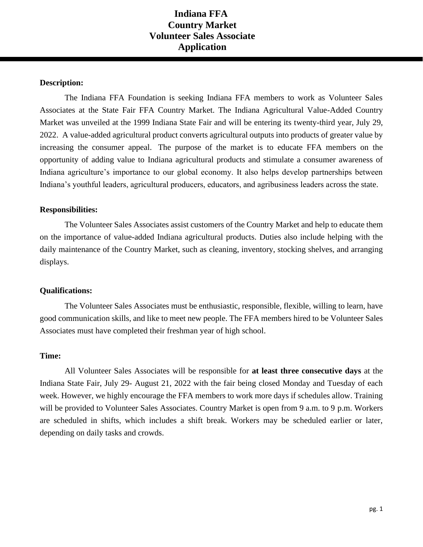## **Indiana FFA Country Market Volunteer Sales Associate Application**

### **Description:**

The Indiana FFA Foundation is seeking Indiana FFA members to work as Volunteer Sales Associates at the State Fair FFA Country Market. The Indiana Agricultural Value-Added Country Market was unveiled at the 1999 Indiana State Fair and will be entering its twenty-third year, July 29, 2022. A value-added agricultural product converts agricultural outputs into products of greater value by increasing the consumer appeal. The purpose of the market is to educate FFA members on the opportunity of adding value to Indiana agricultural products and stimulate a consumer awareness of Indiana agriculture's importance to our global economy. It also helps develop partnerships between Indiana's youthful leaders, agricultural producers, educators, and agribusiness leaders across the state.

#### **Responsibilities:**

The Volunteer Sales Associates assist customers of the Country Market and help to educate them on the importance of value-added Indiana agricultural products. Duties also include helping with the daily maintenance of the Country Market, such as cleaning, inventory, stocking shelves, and arranging displays.

#### **Qualifications:**

The Volunteer Sales Associates must be enthusiastic, responsible, flexible, willing to learn, have good communication skills, and like to meet new people. The FFA members hired to be Volunteer Sales Associates must have completed their freshman year of high school.

#### **Time:**

All Volunteer Sales Associates will be responsible for **at least three consecutive days** at the Indiana State Fair, July 29- August 21, 2022 with the fair being closed Monday and Tuesday of each week. However, we highly encourage the FFA members to work more days if schedules allow. Training will be provided to Volunteer Sales Associates. Country Market is open from 9 a.m. to 9 p.m. Workers are scheduled in shifts, which includes a shift break. Workers may be scheduled earlier or later, depending on daily tasks and crowds.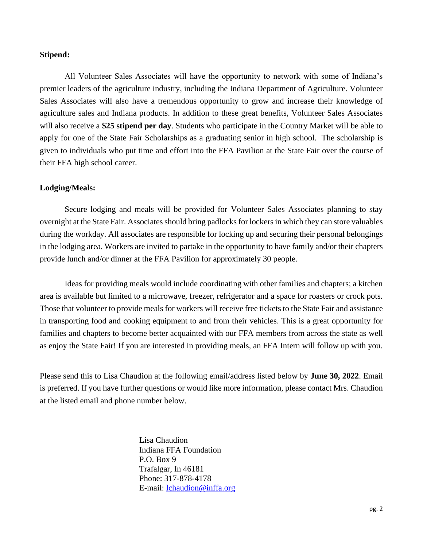#### **Stipend:**

All Volunteer Sales Associates will have the opportunity to network with some of Indiana's premier leaders of the agriculture industry, including the Indiana Department of Agriculture. Volunteer Sales Associates will also have a tremendous opportunity to grow and increase their knowledge of agriculture sales and Indiana products. In addition to these great benefits, Volunteer Sales Associates will also receive a **\$25 stipend per day**. Students who participate in the Country Market will be able to apply for one of the State Fair Scholarships as a graduating senior in high school. The scholarship is given to individuals who put time and effort into the FFA Pavilion at the State Fair over the course of their FFA high school career.

#### **Lodging/Meals:**

Secure lodging and meals will be provided for Volunteer Sales Associates planning to stay overnight at the State Fair. Associates should bring padlocks for lockers in which they can store valuables during the workday. All associates are responsible for locking up and securing their personal belongings in the lodging area. Workers are invited to partake in the opportunity to have family and/or their chapters provide lunch and/or dinner at the FFA Pavilion for approximately 30 people.

Ideas for providing meals would include coordinating with other families and chapters; a kitchen area is available but limited to a microwave, freezer, refrigerator and a space for roasters or crock pots. Those that volunteer to provide meals for workers will receive free tickets to the State Fair and assistance in transporting food and cooking equipment to and from their vehicles. This is a great opportunity for families and chapters to become better acquainted with our FFA members from across the state as well as enjoy the State Fair! If you are interested in providing meals, an FFA Intern will follow up with you.

Please send this to Lisa Chaudion at the following email/address listed below by **June 30, 2022**. Email is preferred. If you have further questions or would like more information, please contact Mrs. Chaudion at the listed email and phone number below.

> Lisa Chaudion Indiana FFA Foundation P.O. Box 9 Trafalgar, In 46181 Phone: 317-878-4178 E-mail: [lchaudion@inffa.org](mailto:lchaudion@inffa.org)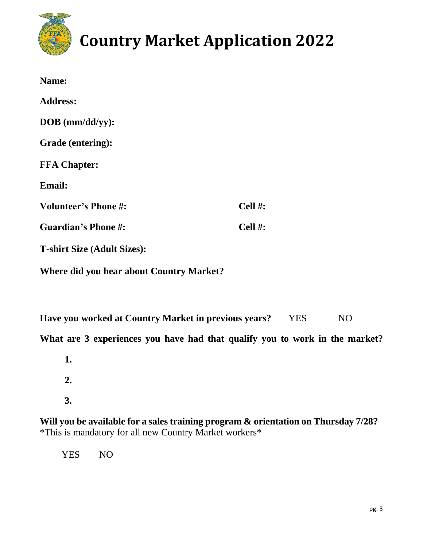

# **Country Market Application 2022**

| Name:                              |            |
|------------------------------------|------------|
| <b>Address:</b>                    |            |
| $DOB$ (mm/dd/yy):                  |            |
| Grade (entering):                  |            |
| <b>FFA Chapter:</b>                |            |
| <b>Email:</b>                      |            |
| <b>Volunteer's Phone#:</b>         | Cell $#$ : |
| <b>Guardian's Phone #:</b>         | Cell #:    |
| <b>T-shirt Size (Adult Sizes):</b> |            |

**Where did you hear about Country Market?**

**Have you worked at Country Market in previous years?** YES NO

**What are 3 experiences you have had that qualify you to work in the market?**

**1. 2. 3.**

**Will you be available for a sales training program & orientation on Thursday 7/28?**  \*This is mandatory for all new Country Market workers\*

YES NO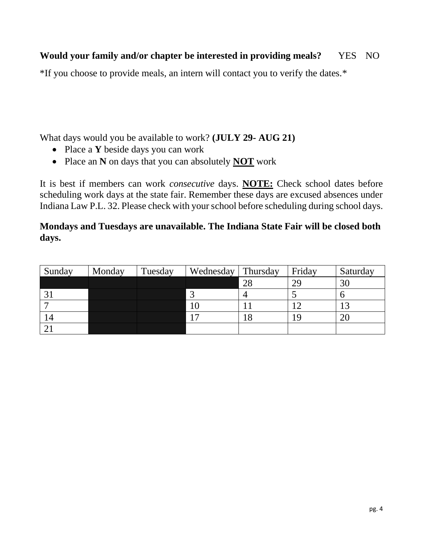## **Would your family and/or chapter be interested in providing meals?** YES NO

\*If you choose to provide meals, an intern will contact you to verify the dates.\*

What days would you be available to work? **(JULY 29- AUG 21)**

- Place a **Y** beside days you can work
- Place an **N** on days that you can absolutely **NOT** work

It is best if members can work *consecutive* days. **NOTE:** Check school dates before scheduling work days at the state fair. Remember these days are excused absences under Indiana Law P.L. 32. Please check with your school before scheduling during school days.

## **Mondays and Tuesdays are unavailable. The Indiana State Fair will be closed both days.**

| Sunday     | Monday | Tuesday | Wednesday | Thursday | Friday | Saturday        |
|------------|--------|---------|-----------|----------|--------|-----------------|
|            |        |         |           | 28       | 29     | 30              |
|            |        |         |           | 4        |        |                 |
|            |        |         |           |          |        | $\bigcap$<br>IJ |
| $\sqrt{4}$ |        |         | –         | . O      |        | 20              |
|            |        |         |           |          |        |                 |